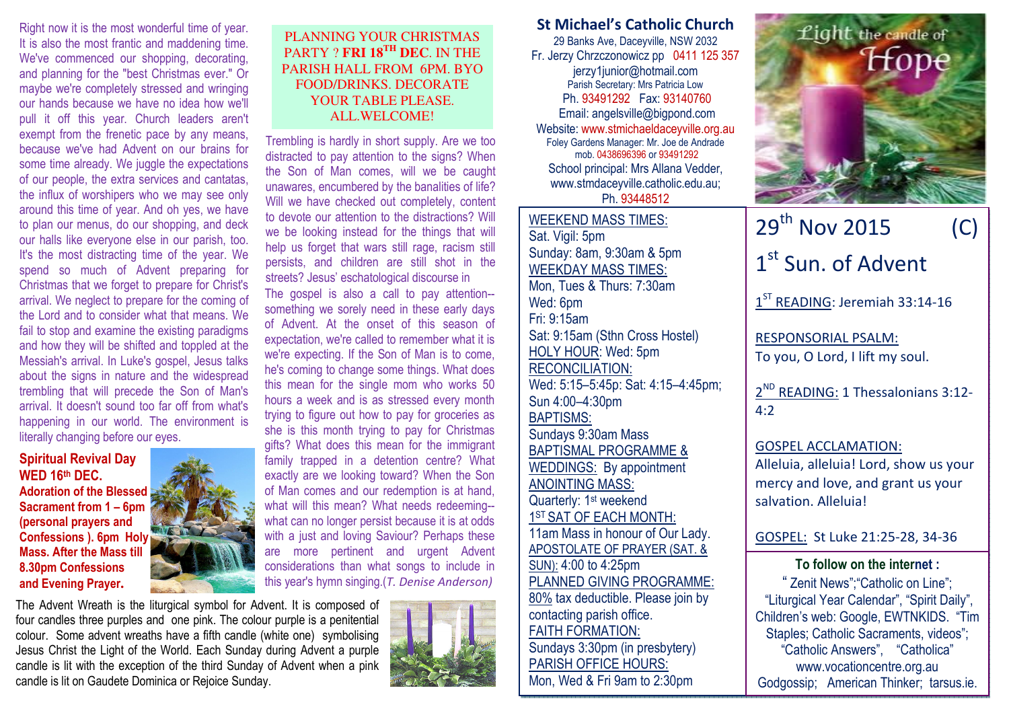Right now it is the most wonderful time of year. Let  $\frac{1}{2}$  **Let the little compute to mesh was a comparished to the computation of the candle of** It is also the most frantic and maddening time. We've commenced our shopping, decorating, and planning for the "best Christmas ever." Or maybe we're completely stressed and wringing our hands because we have no idea how we'll pull it off this year. Church leaders aren't exempt from the frenetic pace by any means, because we've had Advent on our brains for some time already. We juggle the expectations of our people, the extra services and cantatas, the influx of worshipers who we may see only around this time of year. And oh yes, we have to plan our menus, do our shopping, and deck our halls like everyone else in our parish, too. It's the most distracting time of the year. We spend so much of Advent preparing for Christmas that we forget to prepare for Christ's arrival. We neglect to prepare for the coming of the Lord and to consider what that means. We fail to stop and examine the existing paradigms and how they will be shifted and toppled at the Messiah's arrival. In Luke's gospel, Jesus talks about the signs in nature and the widespread trembling that will precede the Son of Man's arrival. It doesn't sound too far off from what's happening in our world. The environment is literally changing before our eyes.

#### Spiritual Revival Day WED 16th DEC.

 Adoration of the Blessed Sacrament from 1 – 6pm (personal prayers and Confessions ). 6pm Holy Mass. After the Mass till 8.30pm Confessions and Evening Prayer**.** 



## PLANNING YOUR CHRISTMAS PARTY ? **FRI 18TH DEC**. IN THE PARISH HALL FROM 6PM. BYO FOOD/DRINKS. DECORATE YOUR TABLE PLEASE. ALL.WELCOME!

Trembling is hardly in short supply. Are we too distracted to pay attention to the signs? When the Son of Man comes, will we be caught unawares, encumbered by the banalities of life? Will we have checked out completely, content to devote our attention to the distractions? Will we be looking instead for the things that will help us forget that wars still rage, racism still persists, and children are still shot in the streets? Jesus' eschatological discourse in The gospel is also a call to pay attention-something we sorely need in these early days of Advent. At the onset of this season of expectation, we're called to remember what it is we're expecting. If the Son of Man is to come, he's coming to change some things. What does this mean for the single mom who works 50 hours a week and is as stressed every month trying to figure out how to pay for groceries as she is this month trying to pay for Christmas gifts? What does this mean for the immigrant family trapped in a detention centre? What exactly are we looking toward? When the Son of Man comes and our redemption is at hand, what will this mean? What needs redeeming- what can no longer persist because it is at odds with a just and loving Saviour? Perhaps these are more pertinent and urgent Advent considerations than what songs to include in this year's hymn singing.(T. Denise Anderson)

The Advent Wreath is the liturgical symbol for Advent. It is composed of four candles three purples and one pink. The colour purple is a penitential colour. Some advent wreaths have a fifth candle (white one) symbolising Jesus Christ the Light of the World. Each Sunday during Advent a purple candle is lit with the exception of the third Sunday of Advent when a pink candle is lit on Gaudete Dominica or Rejoice Sunday.



St Michael's Catholic Church 29 Banks Ave, Daceyville, NSW 2032 Fr. Jerzy Chrzczonowicz pp 0411 125 357 jerzy1junior@hotmail.com Parish Secretary: Mrs Patricia Low Ph. 93491292 Fax: 93140760 Email: angelsville@bigpond.com Website: www.stmichaeldaceyville.org.au Foley Gardens Manager: Mr. Joe de Andrade mob. 0438696396 or 93491292 School principal: Mrs Allana Vedder, www.stmdaceyville.catholic.edu.au; Ph. 93448512

## WEEKEND MASS TIMES:Sat. Vigil: 5pm Sunday: 8am, 9:30am & 5pm WEEKDAY MASS TIMES: Mon, Tues & Thurs: 7:30am Wed: 6pm Fri: 9:15am Sat: 9:15am (Sthn Cross Hostel) HOLY HOUR: Wed: 5pm RECONCILIATION: Wed: 5:15–5:45p: Sat: 4:15–4:45pm; Sun 4:00–4:30pm BAPTISMS: Sundays 9:30am Mass BAPTISMAL PROGRAMME & WEDDINGS: By appointment ANOINTING MASS: Quarterly: 1<sup>st</sup> weekend 1ST SAT OF EACH MONTH: 11am Mass in honour of Our Lady. APOSTOLATE OF PRAYER (SAT. & SUN): 4:00 to 4:25pm PLANNED GIVING PROGRAMME: 80% tax deductible. Please join by contacting parish office. FAITH FORMATION: Sundays 3:30pm (in presbytery) PARISH OFFICE HOURS:

Mon, Wed & Fri 9am to 2:30pm



# 29 $^{\sf th}$  Nov 2015 1<sup>st</sup> Sun. of Advent

(C)

 $1<sup>ST</sup>$  READING: Jeremiah 33:14-16

RESPONSORIAL PSALM: To you, O Lord, I lift my soul.

2<sup>ND</sup> READING: 1 Thessalonians 3:12- $4:2$ 

GOSPEL ACCLAMATION:

Alleluia, alleluia! Lord, show us your mercy and love, and grant us your salvation. Alleluia!

GOSPEL: St Luke 21:25-28, 34-36

To follow on the internet :

" Zenit News";"Catholic on Line"; "Liturgical Year Calendar", "Spirit Daily", Children's web: Google, EWTNKIDS. "Tim Staples: Catholic Sacraments, videos": "Catholic Answers", "Catholica" www.vocationcentre.org.au Godgossip; American Thinker; tarsus.ie.